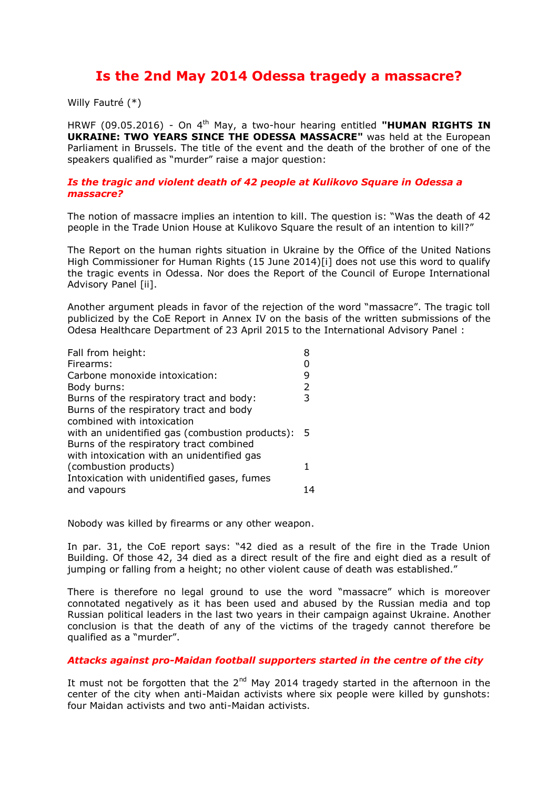# **Is the 2nd May 2014 Odessa tragedy a massacre?**

Willy Fautré (\*)

HRWF (09.05.2016) - On 4<sup>th</sup> May, a two-hour hearing entitled "HUMAN RIGHTS IN **UKRAINE: TWO YEARS SINCE THE ODESSA MASSACRE"** was held at the European Parliament in Brussels. The title of the event and the death of the brother of one of the speakers qualified as "murder" raise a major question:

#### *Is the tragic and violent death of 42 people at Kulikovo Square in Odessa a massacre?*

The notion of massacre implies an intention to kill. The question is: "Was the death of 42 people in the Trade Union House at Kulikovo Square the result of an intention to kill?"

The Report on the human rights situation in Ukraine by the Office of the United Nations High Commissioner for Human Rights (15 June 2014)[i] does not use this word to qualify the tragic events in Odessa. Nor does the Report of the Council of Europe International Advisory Panel [ii].

Another argument pleads in favor of the rejection of the word "massacre". The tragic toll publicized by the CoE Report in Annex IV on the basis of the written submissions of the Odesa Healthcare Department of 23 April 2015 to the International Advisory Panel :

| Fall from height:                                 |    |
|---------------------------------------------------|----|
| Firearms:                                         |    |
| Carbone monoxide intoxication:                    | 9  |
| Body burns:                                       | 2  |
| Burns of the respiratory tract and body:          | 3  |
| Burns of the respiratory tract and body           |    |
| combined with intoxication                        |    |
| with an unidentified gas (combustion products): 5 |    |
| Burns of the respiratory tract combined           |    |
| with intoxication with an unidentified gas        |    |
| (combustion products)                             | 1  |
| Intoxication with unidentified gases, fumes       |    |
| and vapours                                       | 14 |
|                                                   |    |

Nobody was killed by firearms or any other weapon.

In par. 31, the CoE report says: "42 died as a result of the fire in the Trade Union Building. Of those 42, 34 died as a direct result of the fire and eight died as a result of jumping or falling from a height; no other violent cause of death was established."

There is therefore no legal ground to use the word "massacre" which is moreover connotated negatively as it has been used and abused by the Russian media and top Russian political leaders in the last two years in their campaign against Ukraine. Another conclusion is that the death of any of the victims of the tragedy cannot therefore be qualified as a "murder".

## *Attacks against pro-Maidan football supporters started in the centre of the city*

It must not be forgotten that the  $2^{nd}$  May 2014 tragedy started in the afternoon in the center of the city when anti-Maidan activists where six people were killed by gunshots: four Maidan activists and two anti-Maidan activists.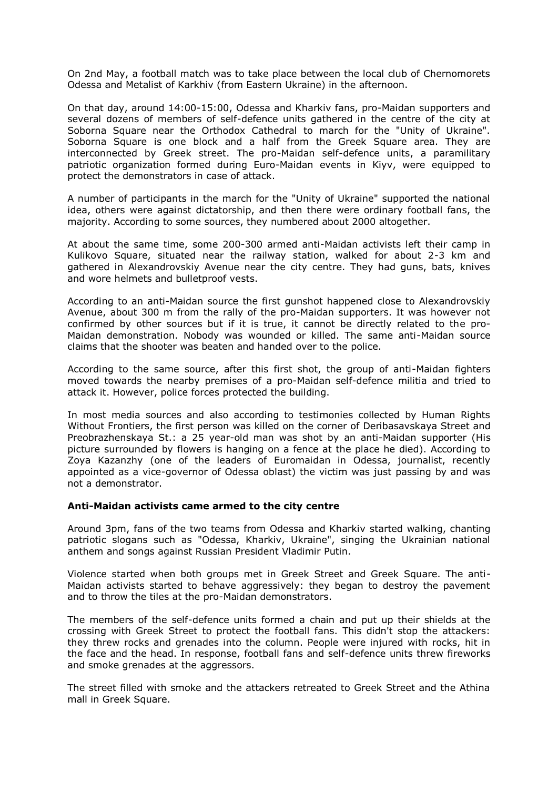On 2nd May, a football match was to take place between the local club of Chernomorets Odessa and Metalist of Karkhiv (from Eastern Ukraine) in the afternoon.

On that day, around 14:00-15:00, Odessa and Kharkiv fans, pro-Maidan supporters and several dozens of members of self-defence units gathered in the centre of the city at Soborna Square near the Orthodox Cathedral to march for the "Unity of Ukraine". Soborna Square is one block and a half from the Greek Square area. They are interconnected by Greek street. The pro-Maidan self-defence units, a paramilitary patriotic organization formed during Euro-Maidan events in Kiyv, were equipped to protect the demonstrators in case of attack.

A number of participants in the march for the "Unity of Ukraine" supported the national idea, others were against dictatorship, and then there were ordinary football fans, the majority. According to some sources, they numbered about 2000 altogether.

At about the same time, some 200-300 armed anti-Maidan activists left their camp in Kulikovo Square, situated near the railway station, walked for about 2-3 km and gathered in Alexandrovskiy Avenue near the city centre. They had guns, bats, knives and wore helmets and bulletproof vests.

According to an anti-Maidan source the first gunshot happened close to Alexandrovskiy Avenue, about 300 m from the rally of the pro-Maidan supporters. It was however not confirmed by other sources but if it is true, it cannot be directly related to the pro-Maidan demonstration. Nobody was wounded or killed. The same anti-Maidan source claims that the shooter was beaten and handed over to the police.

According to the same source, after this first shot, the group of anti-Maidan fighters moved towards the nearby premises of a pro-Maidan self-defence militia and tried to attack it. However, police forces protected the building.

In most media sources and also according to testimonies collected by Human Rights Without Frontiers, the first person was killed on the corner of Deribasavskaya Street and Preobrazhenskaya St.: a 25 year-old man was shot by an anti-Maidan supporter (His picture surrounded by flowers is hanging on a fence at the place he died). According to Zoya Kazanzhy (one of the leaders of Euromaidan in Odessa, journalist, recently appointed as a vice-governor of Odessa oblast) the victim was just passing by and was not a demonstrator.

#### **Anti-Maidan activists came armed to the city centre**

Around 3pm, fans of the two teams from Odessa and Kharkiv started walking, chanting patriotic slogans such as "Odessa, Kharkiv, Ukraine", singing the Ukrainian national anthem and songs against Russian President Vladimir Putin.

Violence started when both groups met in Greek Street and Greek Square. The anti-Maidan activists started to behave aggressively: they began to destroy the pavement and to throw the tiles at the pro-Maidan demonstrators.

The members of the self-defence units formed a chain and put up their shields at the crossing with Greek Street to protect the football fans. This didn't stop the attackers: they threw rocks and grenades into the column. People were injured with rocks, hit in the face and the head. In response, football fans and self-defence units threw fireworks and smoke grenades at the aggressors.

The street filled with smoke and the attackers retreated to Greek Street and the Athina mall in Greek Square.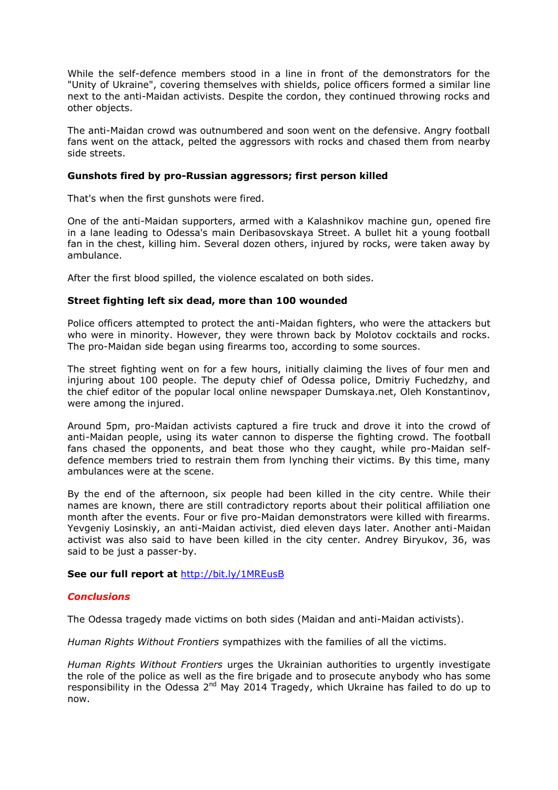While the self-defence members stood in a line in front of the demonstrators for the "Unity of Ukraine", covering themselves with shields, police officers formed a similar line next to the anti-Maidan activists. Despite the cordon, they continued throwing rocks and other objects.

The anti-Maidan crowd was outnumbered and soon went on the defensive. Angry football fans went on the attack, pelted the aggressors with rocks and chased them from nearby side streets.

## **Gunshots fired by pro-Russian aggressors; first person killed**

That's when the first gunshots were fired.

One of the anti-Maidan supporters, armed with a Kalashnikov machine gun, opened fire in a lane leading to Odessa's main Deribasovskaya Street. A bullet hit a young football fan in the chest, killing him. Several dozen others, injured by rocks, were taken away by ambulance.

After the first blood spilled, the violence escalated on both sides.

## **Street fighting left six dead, more than 100 wounded**

Police officers attempted to protect the anti-Maidan fighters, who were the attackers but who were in minority. However, they were thrown back by Molotov cocktails and rocks. The pro-Maidan side began using firearms too, according to some sources.

The street fighting went on for a few hours, initially claiming the lives of four men and injuring about 100 people. The deputy chief of Odessa police, Dmitriy Fuchedzhy, and the chief editor of the popular local online newspaper Dumskaya.net, Oleh Konstantinov, were among the injured.

Around 5pm, pro-Maidan activists captured a fire truck and drove it into the crowd of anti-Maidan people, using its water cannon to disperse the fighting crowd. The football fans chased the opponents, and beat those who they caught, while pro-Maidan selfdefence members tried to restrain them from lynching their victims. By this time, many ambulances were at the scene.

By the end of the afternoon, six people had been killed in the city centre. While their names are known, there are still contradictory reports about their political affiliation one month after the events. Four or five pro-Maidan demonstrators were killed with firearms. Yevgeniy Losinskiy, an anti-Maidan activist, died eleven days later. Another anti-Maidan activist was also said to have been killed in the city center. Andrey Biryukov, 36, was said to be just a passer-by.

## **See our full report at** <http://bit.ly/1MREusB>

## *Conclusions*

The Odessa tragedy made victims on both sides (Maidan and anti-Maidan activists).

*Human Rights Without Frontiers* sympathizes with the families of all the victims.

*Human Rights Without Frontiers* urges the Ukrainian authorities to urgently investigate the role of the police as well as the fire brigade and to prosecute anybody who has some responsibility in the Odessa  $2^{nd}$  May 2014 Tragedy, which Ukraine has failed to do up to now.